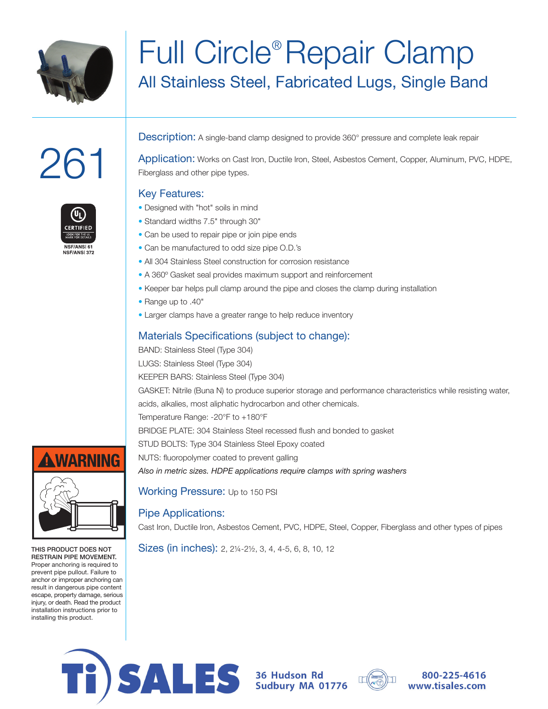

# Full Circle® Repair Clamp All Stainless Steel, Fabricated Lugs, Single Band

# 261



**Description:** A single-band clamp designed to provide 360° pressure and complete leak repair

Application: Works on Cast Iron, Ductile Iron, Steel, Asbestos Cement, Copper, Aluminum, PVC, HDPE, Fiberglass and other pipe types.

### Key Features:



- Designed with "hot" soils in mind • Standard widths 7.5" through 30"
- Can be used to repair pipe or join pipe ends
- Can be manufactured to odd size pipe O.D.'s
- All 304 Stainless Steel construction for corrosion resistance
- A 360º Gasket seal provides maximum support and reinforcement
- Keeper bar helps pull clamp around the pipe and closes the clamp during installation
- Range up to .40"
- Larger clamps have a greater range to help reduce inventory

# Materials Specifications (subject to change):

BAND: Stainless Steel (Type 304) LUGS: Stainless Steel (Type 304) KEEPER BARS: Stainless Steel (Type 304) GASKET: Nitrile (Buna N) to produce superior storage and performance characteristics while resisting water, acids, alkalies, most aliphatic hydrocarbon and other chemicals. Temperature Range: -20°F to +180°F BRIDGE PLATE: 304 Stainless Steel recessed flush and bonded to gasket STUD BOLTS: Type 304 Stainless Steel Epoxy coated NUTS: fluoropolymer coated to prevent galling *Also in metric sizes. HDPE applications require clamps with spring washers*

Working Pressure: Up to 150 PSI

# Pipe Applications:

Cast Iron, Ductile Iron, Asbestos Cement, PVC, HDPE, Steel, Copper, Fiberglass and other types of pipes

Sizes (in inches): 2, 2¼-2½, 3, 4, 4-5, 6, 8, 10, 12



THIS PRODUCT DOES NOT RESTRAIN PIPE MOVEMENT. Proper anchoring is required to prevent pipe pullout. Failure to anchor or improper anchoring can result in dangerous pipe content escape, property damage, serious injury, or death. Read the product installation instructions prior to installing this product.



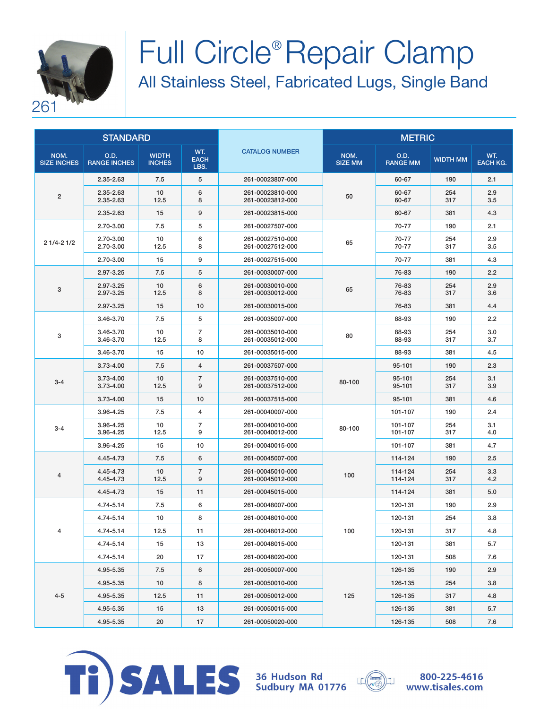

# Full Circle® Repair Clamp All Stainless Steel, Fabricated Lugs, Single Band

| <b>STANDARD</b>            |                             |                               |                            | <b>METRIC</b>                        |                        |                         |                 |                        |
|----------------------------|-----------------------------|-------------------------------|----------------------------|--------------------------------------|------------------------|-------------------------|-----------------|------------------------|
| NOM.<br><b>SIZE INCHES</b> | O.D.<br><b>RANGE INCHES</b> | <b>WIDTH</b><br><b>INCHES</b> | WT.<br><b>EACH</b><br>LBS. | <b>CATALOG NUMBER</b>                | NOM.<br><b>SIZE MM</b> | O.D.<br><b>RANGE MM</b> | <b>WIDTH MM</b> | WT.<br><b>EACH KG.</b> |
| $\overline{2}$             | 2.35-2.63                   | 7.5                           | 5                          | 261-00023807-000                     |                        | 60-67                   | 190             | 2.1                    |
|                            | 2.35-2.63<br>2.35-2.63      | 10<br>12.5                    | 6<br>8                     | 261-00023810-000<br>261-00023812-000 | 50                     | 60-67<br>60-67          | 254<br>317      | 2.9<br>3.5             |
|                            | 2.35-2.63                   | 15                            | 9                          | 261-00023815-000                     |                        | 60-67                   | 381             | 4.3                    |
|                            | 2.70-3.00                   | 7.5                           | 5                          | 261-00027507-000                     |                        | 70-77                   | 190             | 2.1                    |
| $21/4 - 21/2$              | 2.70-3.00<br>2.70-3.00      | 10<br>12.5                    | 6<br>8                     | 261-00027510-000<br>261-00027512-000 | 65                     | 70-77<br>70-77          | 254<br>317      | 2.9<br>3.5             |
|                            | 2.70-3.00                   | 15                            | 9                          | 261-00027515-000                     |                        | 70-77                   | 381             | 4.3                    |
|                            | 2.97-3.25                   | 7.5                           | 5                          | 261-00030007-000                     |                        | 76-83                   | 190             | 2.2                    |
| 3                          | 2.97-3.25<br>2.97-3.25      | 10<br>12.5                    | 6<br>8                     | 261-00030010-000<br>261-00030012-000 | 65                     | 76-83<br>76-83          | 254<br>317      | 2.9<br>3.6             |
|                            | 2.97-3.25                   | 15                            | 10                         | 261-00030015-000                     |                        | 76-83                   | 381             | 4.4                    |
|                            | 3.46-3.70                   | 7.5                           | 5                          | 261-00035007-000                     |                        | 88-93                   | 190             | 2.2                    |
| 3                          | 3.46-3.70<br>3.46-3.70      | 10<br>12.5                    | $\overline{7}$<br>8        | 261-00035010-000<br>261-00035012-000 | 80                     | 88-93<br>88-93          | 254<br>317      | 3.0<br>3.7             |
|                            | 3.46-3.70                   | 15                            | 10                         | 261-00035015-000                     |                        | 88-93                   | 381             | 4.5                    |
|                            | $3.73 - 4.00$               | 7.5                           | $\overline{4}$             | 261-00037507-000                     | 80-100                 | 95-101                  | 190             | 2.3                    |
| $3 - 4$                    | 3.73-4.00<br>3.73-4.00      | 10<br>12.5                    | $\overline{7}$<br>9        | 261-00037510-000<br>261-00037512-000 |                        | 95-101<br>95-101        | 254<br>317      | 3.1<br>3.9             |
|                            | $3.73 - 4.00$               | 15                            | 10                         | 261-00037515-000                     |                        | 95-101                  | 381             | 4.6                    |
|                            | 3.96-4.25                   | 7.5                           | 4                          | 261-00040007-000                     | 80-100                 | 101-107                 | 190             | 2.4                    |
| $3 - 4$                    | 3.96-4.25<br>3.96-4.25      | 10<br>12.5                    | $\overline{7}$<br>9        | 261-00040010-000<br>261-00040012-000 |                        | 101-107<br>101-107      | 254<br>317      | 3.1<br>4.0             |
|                            | 3.96-4.25                   | 15                            | 10                         | 261-00040015-000                     |                        | 101-107                 | 381             | 4.7                    |
|                            | 4.45-4.73                   | 7.5                           | 6                          | 261-00045007-000                     |                        | 114-124                 | 190             | 2.5                    |
| $\overline{4}$             | 4.45-4.73<br>4.45-4.73      | 10<br>12.5                    | $\overline{7}$<br>9        | 261-00045010-000<br>261-00045012-000 | 100                    | 114-124<br>114-124      | 254<br>317      | 3.3<br>4.2             |
|                            | 4.45-4.73                   | 15                            | 11                         | 261-00045015-000                     |                        | 114-124                 | 381             | 5.0                    |
|                            | 4.74-5.14                   | 7.5                           | 6                          | 261-00048007-000                     |                        | 120-131                 | 190             | 2.9                    |
|                            | 4.74-5.14                   | 10                            | 8                          | 261-00048010-000                     | 100                    | 120-131                 | 254             | 3.8                    |
| 4                          | 4.74-5.14                   | 12.5                          | 11                         | 261-00048012-000                     |                        | 120-131                 | 317             | 4.8                    |
|                            | 4.74-5.14                   | 15                            | 13                         | 261-00048015-000                     |                        | 120-131                 | 381             | 5.7                    |
|                            | 4.74-5.14                   | 20                            | 17                         | 261-00048020-000                     |                        | 120-131                 | 508             | 7.6                    |
|                            | 4.95-5.35                   | 7.5                           | 6                          | 261-00050007-000                     |                        | 126-135                 | 190             | 2.9                    |
|                            | 4.95-5.35                   | 10                            | 8                          | 261-00050010-000                     |                        | 126-135                 | 254             | 3.8                    |
| $4 - 5$                    | 4.95-5.35                   | 12.5                          | 11                         | 261-00050012-000                     | 125                    | 126-135                 | 317             | 4.8                    |
|                            | 4.95-5.35                   | 15                            | 13                         | 261-00050015-000                     |                        | 126-135                 | 381             | 5.7                    |
|                            | 4.95-5.35                   | 20                            | 17                         | 261-00050020-000                     |                        | 126-135                 | 508             | 7.6                    |



36 Hudson Rd<br>Sudbury MA 01776

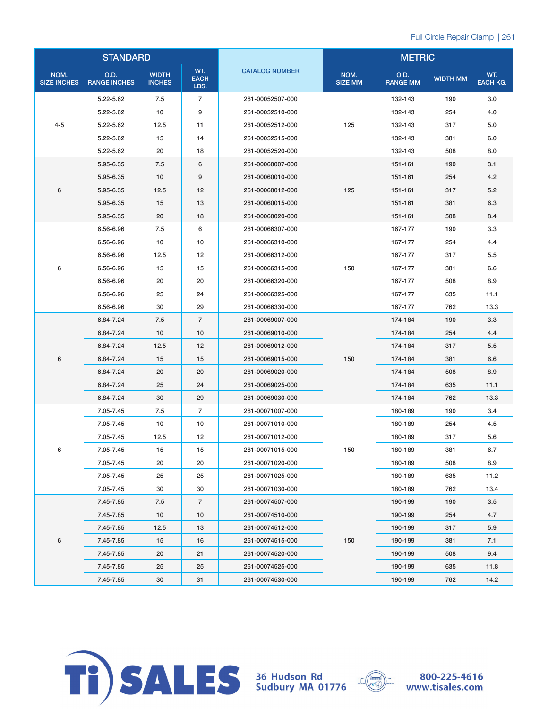| <b>STANDARD</b>            |                             |                               |                            | <b>METRIC</b>         |                        |                         |                 |                        |
|----------------------------|-----------------------------|-------------------------------|----------------------------|-----------------------|------------------------|-------------------------|-----------------|------------------------|
| NOM.<br><b>SIZE INCHES</b> | O.D.<br><b>RANGE INCHES</b> | <b>WIDTH</b><br><b>INCHES</b> | WT.<br><b>EACH</b><br>LBS. | <b>CATALOG NUMBER</b> | NOM.<br><b>SIZE MM</b> | O.D.<br><b>RANGE MM</b> | <b>WIDTH MM</b> | WT.<br><b>EACH KG.</b> |
|                            | 5.22-5.62                   | 7.5                           | $\overline{7}$             | 261-00052507-000      |                        | 132-143                 | 190             | 3.0                    |
|                            | 5.22-5.62                   | 10                            | 9                          | 261-00052510-000      |                        | 132-143                 | 254             | 4.0                    |
| $4 - 5$                    | 5.22-5.62                   | 12.5                          | 11                         | 261-00052512-000      | 125                    | 132-143                 | 317             | 5.0                    |
|                            | 5.22-5.62                   | 15                            | 14                         | 261-00052515-000      |                        | 132-143                 | 381             | 6.0                    |
|                            | 5.22-5.62                   | 20                            | 18                         | 261-00052520-000      |                        | 132-143                 | 508             | 8.0                    |
|                            | 5.95-6.35                   | 7.5                           | 6                          | 261-00060007-000      |                        | 151-161                 | 190             | 3.1                    |
|                            | 5.95-6.35                   | 10                            | 9                          | 261-00060010-000      |                        | 151-161                 | 254             | 4.2                    |
| 6                          | 5.95-6.35                   | 12.5                          | 12                         | 261-00060012-000      | 125                    | 151-161                 | 317             | 5.2                    |
|                            | 5.95-6.35                   | 15                            | 13                         | 261-00060015-000      |                        | 151-161                 | 381             | 6.3                    |
|                            | 5.95-6.35                   | 20                            | 18                         | 261-00060020-000      |                        | 151-161                 | 508             | 8.4                    |
|                            | 6.56-6.96                   | 7.5                           | 6                          | 261-00066307-000      |                        | 167-177                 | 190             | 3.3                    |
|                            | 6.56-6.96                   | 10                            | 10                         | 261-00066310-000      |                        | 167-177                 | 254             | 4.4                    |
|                            | 6.56-6.96                   | 12.5                          | 12                         | 261-00066312-000      |                        | 167-177                 | 317             | 5.5                    |
| 6                          | 6.56-6.96                   | 15                            | 15                         | 261-00066315-000      | 150                    | 167-177                 | 381             | 6.6                    |
|                            | 6.56-6.96                   | 20                            | 20                         | 261-00066320-000      |                        | 167-177                 | 508             | 8.9                    |
|                            | 6.56-6.96                   | 25                            | 24                         | 261-00066325-000      |                        | 167-177                 | 635             | 11.1                   |
|                            | 6.56-6.96                   | 30                            | 29                         | 261-00066330-000      |                        | 167-177                 | 762             | 13.3                   |
|                            | 6.84-7.24                   | 7.5                           | $\overline{7}$             | 261-00069007-000      | 150                    | 174-184                 | 190             | 3.3                    |
|                            | 6.84-7.24                   | 10                            | 10                         | 261-00069010-000      |                        | 174-184                 | 254             | 4.4                    |
|                            | 6.84-7.24                   | 12.5                          | 12                         | 261-00069012-000      |                        | 174-184                 | 317             | 5.5                    |
| 6                          | 6.84-7.24                   | 15                            | 15                         | 261-00069015-000      |                        | 174-184                 | 381             | 6.6                    |
|                            | 6.84-7.24                   | 20                            | 20                         | 261-00069020-000      |                        | 174-184                 | 508             | 8.9                    |
|                            | 6.84-7.24                   | 25                            | 24                         | 261-00069025-000      |                        | 174-184                 | 635             | 11.1                   |
|                            | 6.84-7.24                   | 30                            | 29                         | 261-00069030-000      |                        | 174-184                 | 762             | 13.3                   |
|                            | 7.05-7.45                   | 7.5                           | $\overline{7}$             | 261-00071007-000      |                        | 180-189                 | 190             | 3.4                    |
|                            | 7.05-7.45                   | 10                            | 10                         | 261-00071010-000      |                        | 180-189                 | 254             | 4.5                    |
|                            | 7.05-7.45                   | 12.5                          | 12                         | 261-00071012-000      |                        | 180-189                 | 317             | 5.6                    |
| 6                          | 7.05-7.45                   | 15                            | 15                         | 261-00071015-000      | 150                    | 180-189                 | 381             | 6.7                    |
|                            | 7.05-7.45                   | 20                            | 20                         | 261-00071020-000      |                        | 180-189                 | 508             | 8.9                    |
|                            | 7.05-7.45                   | 25                            | 25                         | 261-00071025-000      |                        | 180-189                 | 635             | 11.2                   |
|                            | 7.05-7.45                   | 30                            | 30                         | 261-00071030-000      |                        | 180-189                 | 762             | 13.4                   |
|                            | 7.45-7.85                   | 7.5                           | $\overline{7}$             | 261-00074507-000      |                        | 190-199                 | 190             | 3.5                    |
|                            | 7.45-7.85                   | 10                            | 10                         | 261-00074510-000      |                        | 190-199                 | 254             | 4.7                    |
|                            | 7.45-7.85                   | 12.5                          | 13                         | 261-00074512-000      |                        | 190-199                 | 317             | 5.9                    |
| 6                          | 7.45-7.85                   | 15                            | 16                         | 261-00074515-000      | 150                    | 190-199                 | 381             | 7.1                    |
|                            | 7.45-7.85                   | 20                            | 21                         | 261-00074520-000      |                        | 190-199                 | 508             | 9.4                    |
|                            | 7.45-7.85                   | 25                            | 25                         | 261-00074525-000      |                        | 190-199                 | 635             | 11.8                   |
|                            | 7.45-7.85                   | 30                            | 31                         | 261-00074530-000      |                        | 190-199                 | 762             | 14.2                   |



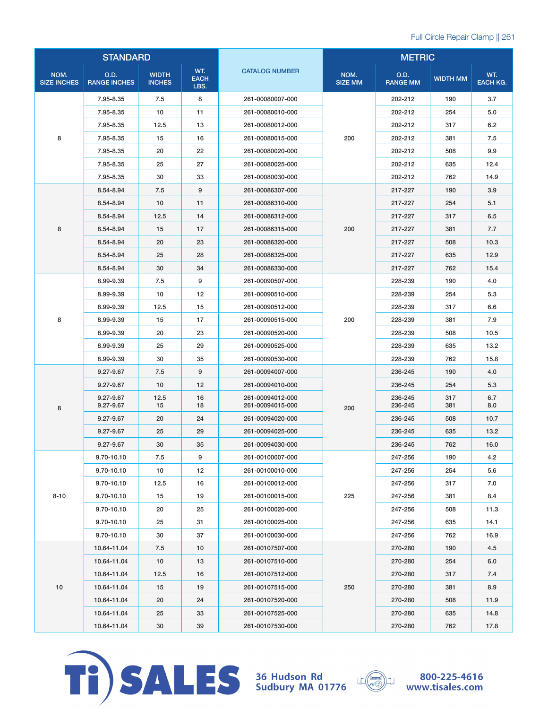| <b>STANDARD</b>            |                             |                               |                            | <b>METRIC</b>                        |                        |                         |                 |                        |
|----------------------------|-----------------------------|-------------------------------|----------------------------|--------------------------------------|------------------------|-------------------------|-----------------|------------------------|
| NOM.<br><b>SIZE INCHES</b> | O.D.<br><b>RANGE INCHES</b> | <b>WIDTH</b><br><b>INCHES</b> | WT.<br><b>EACH</b><br>LBS. | <b>CATALOG NUMBER</b>                | NOM.<br><b>SIZE MM</b> | O.D.<br><b>RANGE MM</b> | <b>WIDTH MM</b> | WT.<br><b>EACH KG.</b> |
|                            | 7.95-8.35                   | 7.5                           | 8                          | 261-00080007-000                     |                        | 202-212                 | 190             | 3.7                    |
|                            | 7.95-8.35                   | 10                            | 11                         | 261-00080010-000                     |                        | 202-212                 | 254             | 5.0                    |
|                            | 7.95-8.35                   | 12.5                          | 13                         | 261-00080012-000                     |                        | 202-212                 | 317             | 6.2                    |
| 8                          | 7.95-8.35                   | 15                            | 16                         | 261-00080015-000                     | 200                    | 202-212                 | 381             | 7.5                    |
|                            | 7.95-8.35                   | 20                            | 22                         | 261-00080020-000                     |                        | 202-212                 | 508             | 9.9                    |
|                            | 7.95-8.35                   | 25                            | 27                         | 261-00080025-000                     |                        | 202-212                 | 635             | 12.4                   |
|                            | 7.95-8.35                   | 30                            | 33                         | 261-00080030-000                     |                        | 202-212                 | 762             | 14.9                   |
|                            | 8.54-8.94                   | 7.5                           | 9                          | 261-00086307-000                     |                        | 217-227                 | 190             | 3.9                    |
|                            | 8.54-8.94                   | 10                            | 11                         | 261-00086310-000                     |                        | 217-227                 | 254             | 5.1                    |
|                            | 8.54-8.94                   | 12.5                          | 14                         | 261-00086312-000                     |                        | 217-227                 | 317             | 6.5                    |
| 8                          | 8.54-8.94                   | 15                            | 17                         | 261-00086315-000                     | 200                    | 217-227                 | 381             | 7.7                    |
|                            | 8.54-8.94                   | 20                            | 23                         | 261-00086320-000                     |                        | 217-227                 | 508             | 10.3                   |
|                            | 8.54-8.94                   | 25                            | 28                         | 261-00086325-000                     |                        | 217-227                 | 635             | 12.9                   |
|                            | 8.54-8.94                   | 30                            | 34                         | 261-00086330-000                     |                        | 217-227                 | 762             | 15.4                   |
|                            | 8.99-9.39                   | 7.5                           | 9                          | 261-00090507-000                     |                        | 228-239                 | 190             | 4.0                    |
|                            | 8.99-9.39                   | 10                            | 12                         | 261-00090510-000                     | 200                    | 228-239                 | 254             | 5.3                    |
|                            | 8.99-9.39                   | 12.5                          | 15                         | 261-00090512-000                     |                        | 228-239                 | 317             | 6.6                    |
| 8                          | 8.99-9.39                   | 15                            | 17                         | 261-00090515-000                     |                        | 228-239                 | 381             | 7.9                    |
|                            | 8.99-9.39                   | 20                            | 23                         | 261-00090520-000                     |                        | 228-239                 | 508             | 10.5                   |
|                            | 8.99-9.39                   | 25                            | 29                         | 261-00090525-000                     |                        | 228-239                 | 635             | 13.2                   |
|                            | 8.99-9.39                   | 30                            | 35                         | 261-00090530-000                     |                        | 228-239                 | 762             | 15.8                   |
|                            | 9.27-9.67                   | 7.5                           | 9                          | 261-00094007-000                     |                        | 236-245                 | 190             | 4.0                    |
|                            | 9.27-9.67                   | 10                            | 12                         | 261-00094010-000                     |                        | 236-245                 | 254             | 5.3                    |
| 8                          | 9.27-9.67<br>9.27-9.67      | 12.5<br>15                    | 16<br>18                   | 261-00094012-000<br>261-00094015-000 | 200                    | 236-245<br>236-245      | 317<br>381      | 6.7<br>8.0             |
|                            | 9.27-9.67                   | 20                            | 24                         | 261-00094020-000                     |                        | 236-245                 | 508             | 10.7                   |
|                            | 9.27-9.67                   | 25                            | 29                         | 261-00094025-000                     |                        | 236-245                 | 635             | 13.2                   |
|                            | 9.27-9.67                   | 30                            | 35                         | 261-00094030-000                     |                        | 236-245                 | 762             | 16.0                   |
|                            | 9.70-10.10                  | 7.5                           | 9                          | 261-00100007-000                     |                        | 247-256                 | 190             | 4.2                    |
|                            | 9.70-10.10                  | 10                            | 12                         | 261-00100010-000                     |                        | 247-256                 | 254             | 5.6                    |
|                            | 9.70-10.10                  | 12.5                          | 16                         | 261-00100012-000                     |                        | 247-256                 | 317             | 7.0                    |
| $8 - 10$                   | 9.70-10.10                  | 15                            | 19                         | 261-00100015-000                     | 225                    | 247-256                 | 381             | 8.4                    |
|                            | 9.70-10.10                  | 20                            | 25                         | 261-00100020-000                     |                        | 247-256                 | 508             | 11.3                   |
|                            | 9.70-10.10                  | 25                            | 31                         | 261-00100025-000                     |                        | 247-256                 | 635             | 14.1                   |
|                            | 9.70-10.10                  | 30                            | 37                         | 261-00100030-000                     |                        | 247-256                 | 762             | 16.9                   |
|                            | 10.64-11.04                 | 7.5                           | 10                         | 261-00107507-000                     |                        | 270-280                 | 190             | 4.5                    |
|                            | 10.64-11.04                 | 10                            | 13                         | 261-00107510-000                     |                        | 270-280                 | 254             | 6.0                    |
|                            | 10.64-11.04                 | 12.5                          | 16                         | 261-00107512-000                     |                        | 270-280                 | 317             | 7.4                    |
| 10                         | 10.64-11.04                 | 15                            | 19                         | 261-00107515-000                     | 250                    | 270-280                 | 381             | 8.9                    |
|                            | 10.64-11.04                 | 20                            | 24                         | 261-00107520-000                     |                        | 270-280                 | 508             | 11.9                   |
|                            | 10.64-11.04                 | 25                            | 33                         | 261-00107525-000                     |                        | 270-280                 | 635             | 14.8                   |
|                            | 10.64-11.04                 | 30                            | 39                         | 261-00107530-000                     |                        | 270-280                 | 762             | 17.8                   |



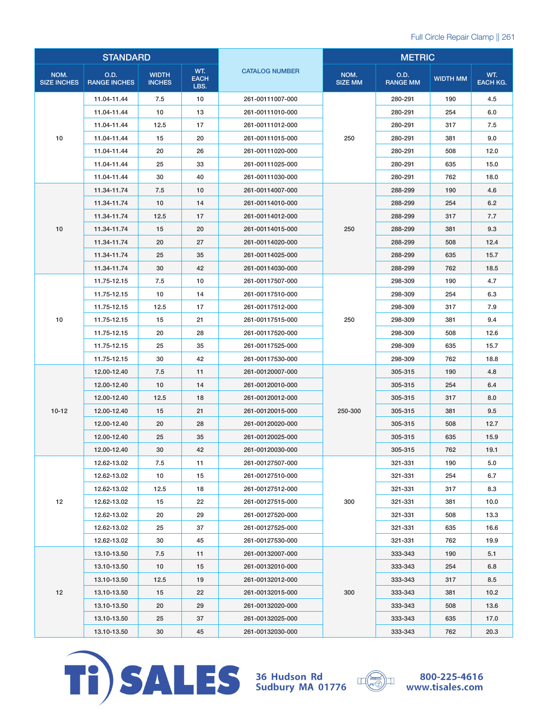| <b>STANDARD</b>            |                             |                               |                            | <b>METRIC</b>         |                        |                         |                 |                        |
|----------------------------|-----------------------------|-------------------------------|----------------------------|-----------------------|------------------------|-------------------------|-----------------|------------------------|
| NOM.<br><b>SIZE INCHES</b> | O.D.<br><b>RANGE INCHES</b> | <b>WIDTH</b><br><b>INCHES</b> | WT.<br><b>EACH</b><br>LBS. | <b>CATALOG NUMBER</b> | NOM.<br><b>SIZE MM</b> | O.D.<br><b>RANGE MM</b> | <b>WIDTH MM</b> | WT.<br><b>EACH KG.</b> |
|                            | 11.04-11.44                 | 7.5                           | 10                         | 261-00111007-000      |                        | 280-291                 | 190             | 4.5                    |
|                            | 11.04-11.44                 | 10                            | 13                         | 261-00111010-000      |                        | 280-291                 | 254             | 6.0                    |
|                            | 11.04-11.44                 | 12.5                          | 17                         | 261-00111012-000      |                        | 280-291                 | 317             | 7.5                    |
| 10                         | 11.04-11.44                 | 15                            | 20                         | 261-00111015-000      | 250                    | 280-291                 | 381             | 9.0                    |
|                            | 11.04-11.44                 | 20                            | 26                         | 261-00111020-000      |                        | 280-291                 | 508             | 12.0                   |
|                            | 11.04-11.44                 | 25                            | 33                         | 261-00111025-000      |                        | 280-291                 | 635             | 15.0                   |
|                            | 11.04-11.44                 | 30                            | 40                         | 261-00111030-000      |                        | 280-291                 | 762             | 18.0                   |
|                            | 11.34-11.74                 | 7.5                           | 10                         | 261-00114007-000      |                        | 288-299                 | 190             | 4.6                    |
|                            | 11.34-11.74                 | 10                            | 14                         | 261-00114010-000      |                        | 288-299                 | 254             | 6.2                    |
|                            | 11.34-11.74                 | 12.5                          | 17                         | 261-00114012-000      |                        | 288-299                 | 317             | 7.7                    |
| 10                         | 11.34-11.74                 | 15                            | 20                         | 261-00114015-000      | 250                    | 288-299                 | 381             | 9.3                    |
|                            | 11.34-11.74                 | 20                            | 27                         | 261-00114020-000      |                        | 288-299                 | 508             | 12.4                   |
|                            | 11.34-11.74                 | 25                            | 35                         | 261-00114025-000      |                        | 288-299                 | 635             | 15.7                   |
|                            | 11.34-11.74                 | 30                            | 42                         | 261-00114030-000      |                        | 288-299                 | 762             | 18.5                   |
|                            | 11.75-12.15                 | 7.5                           | 10                         | 261-00117507-000      |                        | 298-309                 | 190             | 4.7                    |
|                            | 11.75-12.15                 | 10                            | 14                         | 261-00117510-000      | 250                    | 298-309                 | 254             | 6.3                    |
|                            | 11.75-12.15                 | 12.5                          | 17                         | 261-00117512-000      |                        | 298-309                 | 317             | 7.9                    |
| 10                         | 11.75-12.15                 | 15                            | 21                         | 261-00117515-000      |                        | 298-309                 | 381             | 9.4                    |
|                            | 11.75-12.15                 | 20                            | 28                         | 261-00117520-000      |                        | 298-309                 | 508             | 12.6                   |
|                            | 11.75-12.15                 | 25                            | 35                         | 261-00117525-000      |                        | 298-309                 | 635             | 15.7                   |
|                            | 11.75-12.15                 | 30                            | 42                         | 261-00117530-000      |                        | 298-309                 | 762             | 18.8                   |
|                            | 12.00-12.40                 | 7.5                           | 11                         | 261-00120007-000      |                        | 305-315                 | 190             | 4.8                    |
|                            | 12.00-12.40                 | 10                            | 14                         | 261-00120010-000      |                        | 305-315                 | 254             | 6.4                    |
|                            | 12.00-12.40                 | 12.5                          | 18                         | 261-00120012-000      |                        | 305-315                 | 317             | 8.0                    |
| $10 - 12$                  | 12.00-12.40                 | 15                            | 21                         | 261-00120015-000      | 250-300                | 305-315                 | 381             | 9.5                    |
|                            | 12.00-12.40                 | 20                            | 28                         | 261-00120020-000      |                        | 305-315                 | 508             | 12.7                   |
|                            | 12.00-12.40                 | 25                            | 35                         | 261-00120025-000      |                        | 305-315                 | 635             | 15.9                   |
|                            | 12.00-12.40                 | 30                            | 42                         | 261-00120030-000      |                        | 305-315                 | 762             | 19.1                   |
|                            | 12.62-13.02                 | 7.5                           | 11                         | 261-00127507-000      |                        | 321-331                 | 190             | 5.0                    |
|                            | 12.62-13.02                 | 10                            | 15                         | 261-00127510-000      |                        | 321-331                 | 254             | 6.7                    |
|                            | 12.62-13.02                 | 12.5                          | 18                         | 261-00127512-000      |                        | 321-331                 | 317             | 8.3                    |
| 12                         | 12.62-13.02                 | 15                            | 22                         | 261-00127515-000      | 300                    | 321-331                 | 381             | 10.0                   |
|                            | 12.62-13.02                 | 20                            | 29                         | 261-00127520-000      |                        | 321-331                 | 508             | 13.3                   |
|                            | 12.62-13.02                 | 25                            | 37                         | 261-00127525-000      |                        | 321-331                 | 635             | 16.6                   |
|                            | 12.62-13.02                 | 30                            | 45                         | 261-00127530-000      |                        | 321-331                 | 762             | 19.9                   |
|                            | 13.10-13.50                 | 7.5                           | 11                         | 261-00132007-000      |                        | 333-343                 | 190             | 5.1                    |
|                            | 13.10-13.50                 | 10                            | 15                         | 261-00132010-000      |                        | 333-343                 | 254             | 6.8                    |
|                            | 13.10-13.50                 | 12.5                          | 19                         | 261-00132012-000      |                        | 333-343                 | 317             | 8.5                    |
| 12                         | 13.10-13.50                 | 15                            | 22                         | 261-00132015-000      | 300                    | 333-343                 | 381             | 10.2                   |
|                            | 13.10-13.50                 | 20                            | 29                         | 261-00132020-000      |                        | 333-343                 | 508             | 13.6                   |
|                            | 13.10-13.50                 | 25                            | 37                         | 261-00132025-000      |                        | 333-343                 | 635             | 17.0                   |
|                            | 13.10-13.50                 | 30                            | 45                         | 261-00132030-000      |                        | 333-343                 | 762             | 20.3                   |